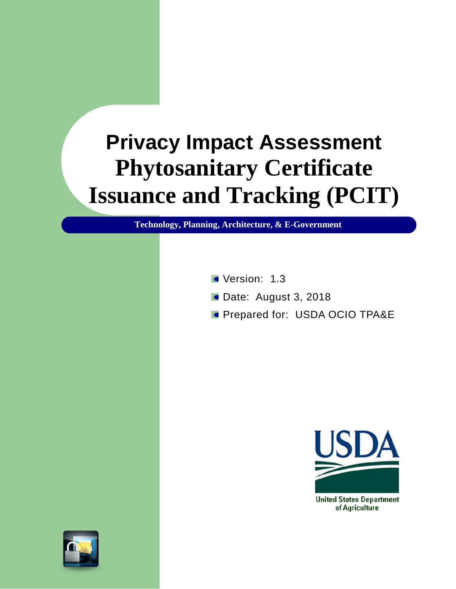# **Privacy Impact Assessment Phytosanitary Certificate Issuance and Tracking (PCIT)**

**Technology, Planning, Architecture, & E-Government**

- Version: 1.3
- Date: August 3, 2018
- **Prepared for: USDA OCIO TPA&E**





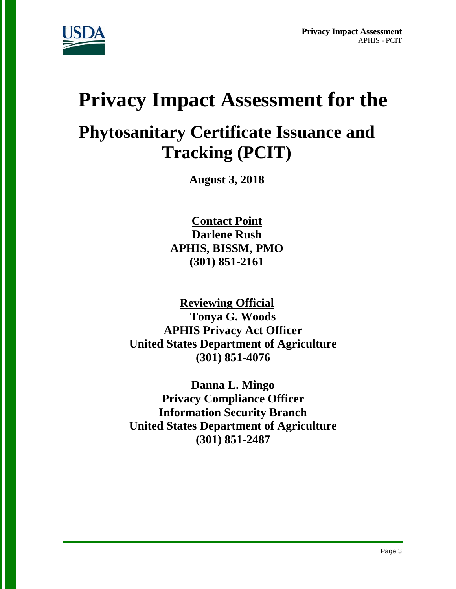

# **Privacy Impact Assessment for the**

# **Phytosanitary Certificate Issuance and Tracking (PCIT)**

**August 3, 2018**

**Contact Point Darlene Rush APHIS, BISSM, PMO (301) 851-2161**

**Reviewing Official Tonya G. Woods APHIS Privacy Act Officer United States Department of Agriculture (301) 851-4076**

**Danna L. Mingo Privacy Compliance Officer Information Security Branch United States Department of Agriculture (301) 851-2487**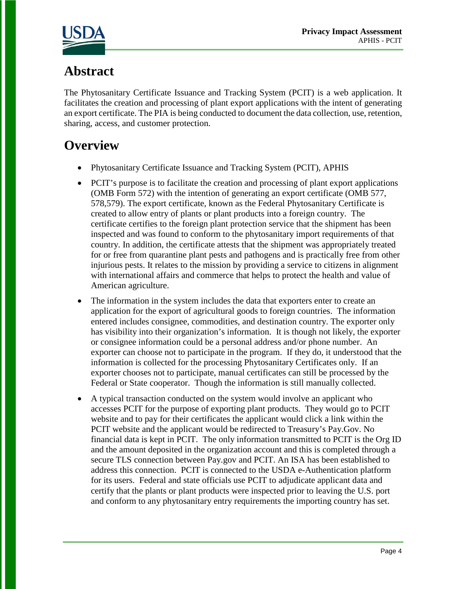

# **Abstract**

The Phytosanitary Certificate Issuance and Tracking System (PCIT) is a web application. It facilitates the creation and processing of plant export applications with the intent of generating an export certificate. The PIA is being conducted to document the data collection, use, retention, sharing, access, and customer protection.

# **Overview**

- Phytosanitary Certificate Issuance and Tracking System (PCIT), APHIS
- PCIT's purpose is to facilitate the creation and processing of plant export applications (OMB Form 572) with the intention of generating an export certificate (OMB 577, 578,579). The export certificate, known as the Federal Phytosanitary Certificate is created to allow entry of plants or plant products into a foreign country. The certificate certifies to the foreign plant protection service that the shipment has been inspected and was found to conform to the phytosanitary import requirements of that country. In addition, the certificate attests that the shipment was appropriately treated for or free from quarantine plant pests and pathogens and is practically free from other injurious pests. It relates to the mission by providing a service to citizens in alignment with international affairs and commerce that helps to protect the health and value of American agriculture.
- The information in the system includes the data that exporters enter to create an application for the export of agricultural goods to foreign countries. The information entered includes consignee, commodities, and destination country. The exporter only has visibility into their organization's information. It is though not likely, the exporter or consignee information could be a personal address and/or phone number. An exporter can choose not to participate in the program. If they do, it understood that the information is collected for the processing Phytosanitary Certificates only. If an exporter chooses not to participate, manual certificates can still be processed by the Federal or State cooperator. Though the information is still manually collected.
- A typical transaction conducted on the system would involve an applicant who accesses PCIT for the purpose of exporting plant products. They would go to PCIT website and to pay for their certificates the applicant would click a link within the PCIT website and the applicant would be redirected to Treasury's Pay.Gov. No financial data is kept in PCIT. The only information transmitted to PCIT is the Org ID and the amount deposited in the organization account and this is completed through a secure TLS connection between Pay.gov and PCIT. An ISA has been established to address this connection. PCIT is connected to the USDA e-Authentication platform for its users. Federal and state officials use PCIT to adjudicate applicant data and certify that the plants or plant products were inspected prior to leaving the U.S. port and conform to any phytosanitary entry requirements the importing country has set.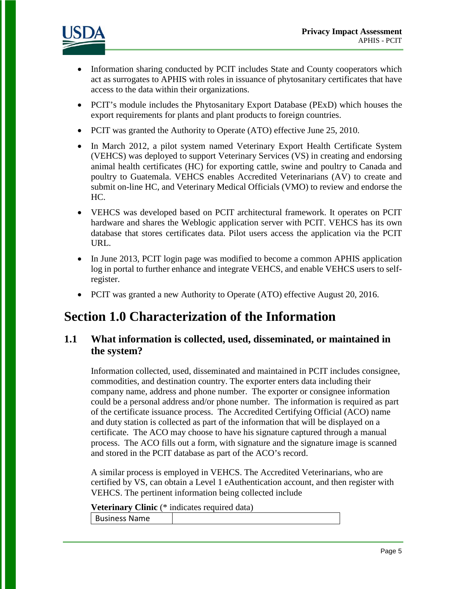

- Information sharing conducted by PCIT includes State and County cooperators which act as surrogates to APHIS with roles in issuance of phytosanitary certificates that have access to the data within their organizations.
- PCIT's module includes the Phytosanitary Export Database (PExD) which houses the export requirements for plants and plant products to foreign countries.
- PCIT was granted the Authority to Operate (ATO) effective June 25, 2010.
- In March 2012, a pilot system named Veterinary Export Health Certificate System (VEHCS) was deployed to support Veterinary Services (VS) in creating and endorsing animal health certificates (HC) for exporting cattle, swine and poultry to Canada and poultry to Guatemala. VEHCS enables Accredited Veterinarians (AV) to create and submit on-line HC, and Veterinary Medical Officials (VMO) to review and endorse the HC.
- VEHCS was developed based on PCIT architectural framework. It operates on PCIT hardware and shares the Weblogic application server with PCIT. VEHCS has its own database that stores certificates data. Pilot users access the application via the PCIT URL.
- In June 2013, PCIT login page was modified to become a common APHIS application log in portal to further enhance and integrate VEHCS, and enable VEHCS users to selfregister.
- PCIT was granted a new Authority to Operate (ATO) effective August 20, 2016.

# **Section 1.0 Characterization of the Information**

#### **1.1 What information is collected, used, disseminated, or maintained in the system?**

Information collected, used, disseminated and maintained in PCIT includes consignee, commodities, and destination country. The exporter enters data including their company name, address and phone number. The exporter or consignee information could be a personal address and/or phone number. The information is required as part of the certificate issuance process. The Accredited Certifying Official (ACO) name and duty station is collected as part of the information that will be displayed on a certificate. The ACO may choose to have his signature captured through a manual process. The ACO fills out a form, with signature and the signature image is scanned and stored in the PCIT database as part of the ACO's record.

A similar process is employed in VEHCS. The Accredited Veterinarians, who are certified by VS, can obtain a Level 1 eAuthentication account, and then register with VEHCS. The pertinent information being collected include

**Veterinary Clinic** (\* indicates required data)

Business Name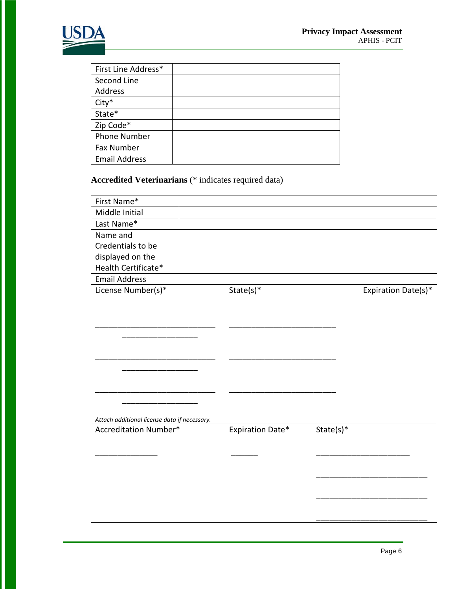

| First Line Address*  |  |
|----------------------|--|
| Second Line          |  |
| Address              |  |
| City*                |  |
| State*               |  |
| Zip Code*            |  |
| <b>Phone Number</b>  |  |
| <b>Fax Number</b>    |  |
| <b>Email Address</b> |  |

**Accredited Veterinarians** (\* indicates required data)

| First Name*                                  |                         |             |                     |
|----------------------------------------------|-------------------------|-------------|---------------------|
| Middle Initial                               |                         |             |                     |
| Last Name*                                   |                         |             |                     |
| Name and                                     |                         |             |                     |
| Credentials to be                            |                         |             |                     |
| displayed on the                             |                         |             |                     |
| Health Certificate*                          |                         |             |                     |
| <b>Email Address</b>                         |                         |             |                     |
| License Number(s)*                           | $State(s)*$             |             | Expiration Date(s)* |
|                                              |                         |             |                     |
|                                              |                         |             |                     |
|                                              |                         |             |                     |
|                                              |                         |             |                     |
|                                              |                         |             |                     |
|                                              |                         |             |                     |
|                                              |                         |             |                     |
|                                              |                         |             |                     |
|                                              |                         |             |                     |
|                                              |                         |             |                     |
| Attach additional license data if necessary. |                         |             |                     |
| <b>Accreditation Number*</b>                 | <b>Expiration Date*</b> | $State(s)*$ |                     |
|                                              |                         |             |                     |
|                                              |                         |             |                     |
|                                              |                         |             |                     |
|                                              |                         |             |                     |
|                                              |                         |             |                     |
|                                              |                         |             |                     |
|                                              |                         |             |                     |
|                                              |                         |             |                     |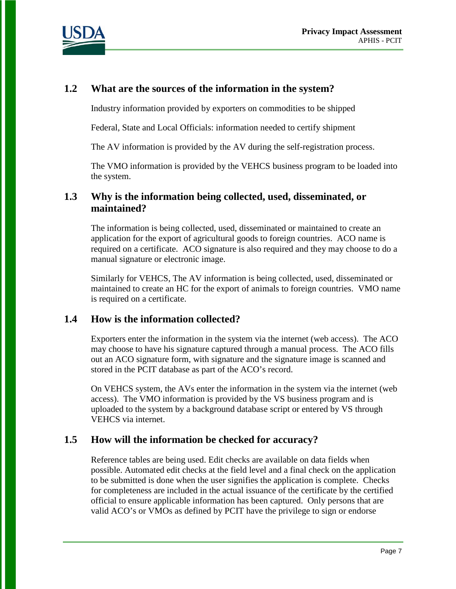

#### **1.2 What are the sources of the information in the system?**

Industry information provided by exporters on commodities to be shipped

Federal, State and Local Officials: information needed to certify shipment

The AV information is provided by the AV during the self-registration process.

The VMO information is provided by the VEHCS business program to be loaded into the system.

#### **1.3 Why is the information being collected, used, disseminated, or maintained?**

The information is being collected, used, disseminated or maintained to create an application for the export of agricultural goods to foreign countries. ACO name is required on a certificate. ACO signature is also required and they may choose to do a manual signature or electronic image.

Similarly for VEHCS, The AV information is being collected, used, disseminated or maintained to create an HC for the export of animals to foreign countries. VMO name is required on a certificate.

#### **1.4 How is the information collected?**

Exporters enter the information in the system via the internet (web access). The ACO may choose to have his signature captured through a manual process. The ACO fills out an ACO signature form, with signature and the signature image is scanned and stored in the PCIT database as part of the ACO's record.

On VEHCS system, the AVs enter the information in the system via the internet (web access). The VMO information is provided by the VS business program and is uploaded to the system by a background database script or entered by VS through VEHCS via internet.

#### **1.5 How will the information be checked for accuracy?**

Reference tables are being used. Edit checks are available on data fields when possible. Automated edit checks at the field level and a final check on the application to be submitted is done when the user signifies the application is complete. Checks for completeness are included in the actual issuance of the certificate by the certified official to ensure applicable information has been captured. Only persons that are valid ACO's or VMOs as defined by PCIT have the privilege to sign or endorse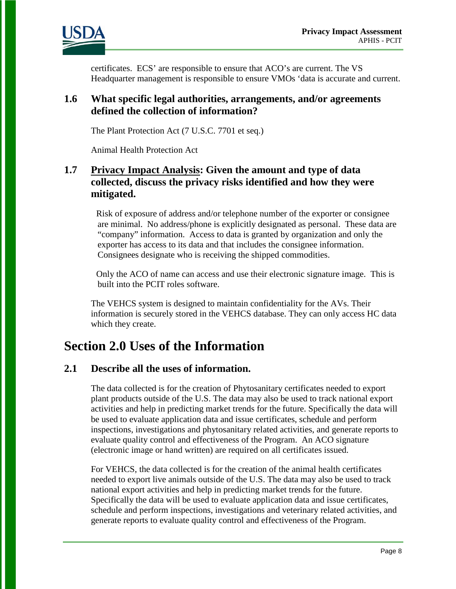

certificates. ECS' are responsible to ensure that ACO's are current. The VS Headquarter management is responsible to ensure VMOs 'data is accurate and current.

#### **1.6 What specific legal authorities, arrangements, and/or agreements defined the collection of information?**

The Plant Protection Act (7 U.S.C. 7701 et seq.)

Animal Health Protection Act

#### **1.7 Privacy Impact Analysis: Given the amount and type of data collected, discuss the privacy risks identified and how they were mitigated.**

Risk of exposure of address and/or telephone number of the exporter or consignee are minimal. No address/phone is explicitly designated as personal. These data are "company" information. Access to data is granted by organization and only the exporter has access to its data and that includes the consignee information. Consignees designate who is receiving the shipped commodities.

Only the ACO of name can access and use their electronic signature image. This is built into the PCIT roles software.

The VEHCS system is designed to maintain confidentiality for the AVs. Their information is securely stored in the VEHCS database. They can only access HC data which they create.

## **Section 2.0 Uses of the Information**

#### **2.1 Describe all the uses of information.**

The data collected is for the creation of Phytosanitary certificates needed to export plant products outside of the U.S. The data may also be used to track national export activities and help in predicting market trends for the future. Specifically the data will be used to evaluate application data and issue certificates, schedule and perform inspections, investigations and phytosanitary related activities, and generate reports to evaluate quality control and effectiveness of the Program. An ACO signature (electronic image or hand written) are required on all certificates issued.

For VEHCS, the data collected is for the creation of the animal health certificates needed to export live animals outside of the U.S. The data may also be used to track national export activities and help in predicting market trends for the future. Specifically the data will be used to evaluate application data and issue certificates, schedule and perform inspections, investigations and veterinary related activities, and generate reports to evaluate quality control and effectiveness of the Program.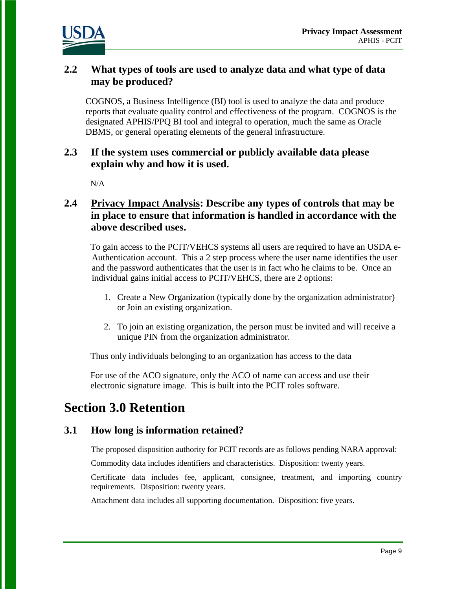

#### **2.2 What types of tools are used to analyze data and what type of data may be produced?**

COGNOS, a Business Intelligence (BI) tool is used to analyze the data and produce reports that evaluate quality control and effectiveness of the program. COGNOS is the designated APHIS/PPQ BI tool and integral to operation, much the same as Oracle DBMS, or general operating elements of the general infrastructure.

#### **2.3 If the system uses commercial or publicly available data please explain why and how it is used.**

 $N/A$ 

#### **2.4 Privacy Impact Analysis: Describe any types of controls that may be in place to ensure that information is handled in accordance with the above described uses.**

To gain access to the PCIT/VEHCS systems all users are required to have an USDA e-Authentication account. This a 2 step process where the user name identifies the user and the password authenticates that the user is in fact who he claims to be. Once an individual gains initial access to PCIT/VEHCS, there are 2 options:

- 1. Create a New Organization (typically done by the organization administrator) or Join an existing organization.
- 2. To join an existing organization, the person must be invited and will receive a unique PIN from the organization administrator.

Thus only individuals belonging to an organization has access to the data

For use of the ACO signature, only the ACO of name can access and use their electronic signature image. This is built into the PCIT roles software.

# **Section 3.0 Retention**

#### **3.1 How long is information retained?**

The proposed disposition authority for PCIT records are as follows pending NARA approval:

Commodity data includes identifiers and characteristics. Disposition: twenty years.

Certificate data includes fee, applicant, consignee, treatment, and importing country requirements. Disposition: twenty years.

Attachment data includes all supporting documentation. Disposition: five years.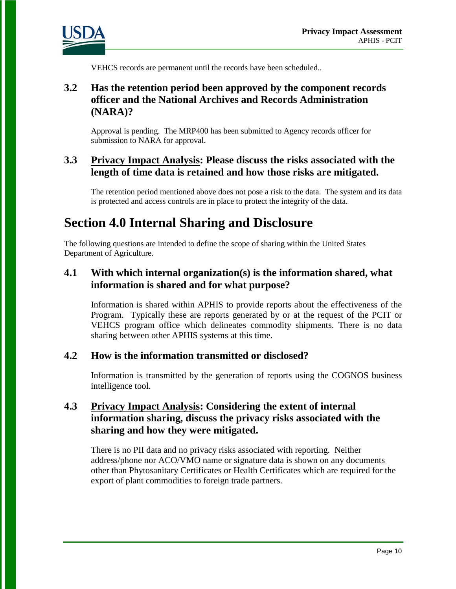

VEHCS records are permanent until the records have been scheduled..

### **3.2 Has the retention period been approved by the component records officer and the National Archives and Records Administration (NARA)?**

Approval is pending. The MRP400 has been submitted to Agency records officer for submission to NARA for approval.

#### **3.3 Privacy Impact Analysis: Please discuss the risks associated with the length of time data is retained and how those risks are mitigated.**

The retention period mentioned above does not pose a risk to the data. The system and its data is protected and access controls are in place to protect the integrity of the data.

# **Section 4.0 Internal Sharing and Disclosure**

The following questions are intended to define the scope of sharing within the United States Department of Agriculture.

### **4.1 With which internal organization(s) is the information shared, what information is shared and for what purpose?**

Information is shared within APHIS to provide reports about the effectiveness of the Program. Typically these are reports generated by or at the request of the PCIT or VEHCS program office which delineates commodity shipments. There is no data sharing between other APHIS systems at this time.

#### **4.2 How is the information transmitted or disclosed?**

Information is transmitted by the generation of reports using the COGNOS business intelligence tool.

#### **4.3 Privacy Impact Analysis: Considering the extent of internal information sharing, discuss the privacy risks associated with the sharing and how they were mitigated.**

There is no PII data and no privacy risks associated with reporting. Neither address/phone nor ACO/VMO name or signature data is shown on any documents other than Phytosanitary Certificates or Health Certificates which are required for the export of plant commodities to foreign trade partners.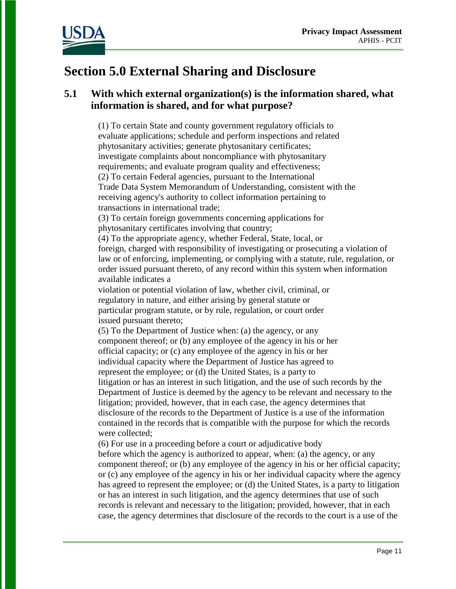

# **Section 5.0 External Sharing and Disclosure**

### **5.1 With which external organization(s) is the information shared, what information is shared, and for what purpose?**

(1) To certain State and county government regulatory officials to evaluate applications; schedule and perform inspections and related phytosanitary activities; generate phytosanitary certificates; investigate complaints about noncompliance with phytosanitary requirements; and evaluate program quality and effectiveness; (2) To certain Federal agencies, pursuant to the International Trade Data System Memorandum of Understanding, consistent with the receiving agency's authority to collect information pertaining to transactions in international trade;

 (3) To certain foreign governments concerning applications for phytosanitary certificates involving that country;

 (4) To the appropriate agency, whether Federal, State, local, or foreign, charged with responsibility of investigating or prosecuting a violation of law or of enforcing, implementing, or complying with a statute, rule, regulation, or order issued pursuant thereto, of any record within this system when information available indicates a

violation or potential violation of law, whether civil, criminal, or regulatory in nature, and either arising by general statute or particular program statute, or by rule, regulation, or court order issued pursuant thereto;

 (5) To the Department of Justice when: (a) the agency, or any component thereof; or (b) any employee of the agency in his or her official capacity; or (c) any employee of the agency in his or her individual capacity where the Department of Justice has agreed to represent the employee; or (d) the United States, is a party to litigation or has an interest in such litigation, and the use of such records by the Department of Justice is deemed by the agency to be relevant and necessary to the litigation; provided, however, that in each case, the agency determines that disclosure of the records to the Department of Justice is a use of the information contained in the records that is compatible with the purpose for which the records were collected;

(6) For use in a proceeding before a court or adjudicative body

before which the agency is authorized to appear, when: (a) the agency, or any component thereof; or (b) any employee of the agency in his or her official capacity; or (c) any employee of the agency in his or her individual capacity where the agency has agreed to represent the employee; or (d) the United States, is a party to litigation or has an interest in such litigation, and the agency determines that use of such records is relevant and necessary to the litigation; provided, however, that in each case, the agency determines that disclosure of the records to the court is a use of the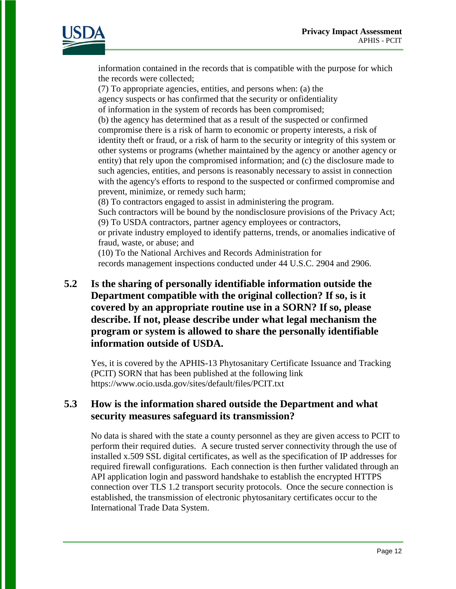

information contained in the records that is compatible with the purpose for which the records were collected;

 (7) To appropriate agencies, entities, and persons when: (a) the agency suspects or has confirmed that the security or onfidentiality of information in the system of records has been compromised; (b) the agency has determined that as a result of the suspected or confirmed compromise there is a risk of harm to economic or property interests, a risk of identity theft or fraud, or a risk of harm to the security or integrity of this system or other systems or programs (whether maintained by the agency or another agency or

entity) that rely upon the compromised information; and (c) the disclosure made to such agencies, entities, and persons is reasonably necessary to assist in connection with the agency's efforts to respond to the suspected or confirmed compromise and prevent, minimize, or remedy such harm;

(8) To contractors engaged to assist in administering the program.

Such contractors will be bound by the nondisclosure provisions of the Privacy Act; (9) To USDA contractors, partner agency employees or contractors,

or private industry employed to identify patterns, trends, or anomalies indicative of fraud, waste, or abuse; and

 (10) To the National Archives and Records Administration for records management inspections conducted under 44 U.S.C. 2904 and 2906.

**5.2 Is the sharing of personally identifiable information outside the Department compatible with the original collection? If so, is it covered by an appropriate routine use in a SORN? If so, please describe. If not, please describe under what legal mechanism the program or system is allowed to share the personally identifiable information outside of USDA.** 

Yes, it is covered by the APHIS-13 Phytosanitary Certificate Issuance and Tracking (PCIT) SORN that has been published at the following link https://www.ocio.usda.gov/sites/default/files/PCIT.txt

#### **5.3 How is the information shared outside the Department and what security measures safeguard its transmission?**

No data is shared with the state a county personnel as they are given access to PCIT to perform their required duties.A secure trusted server connectivity through the use of installed x.509 SSL digital certificates, as well as the specification of IP addresses for required firewall configurations. Each connection is then further validated through an API application login and password handshake to establish the encrypted HTTPS connection over TLS 1.2 transport security protocols. Once the secure connection is established, the transmission of electronic phytosanitary certificates occur to the International Trade Data System.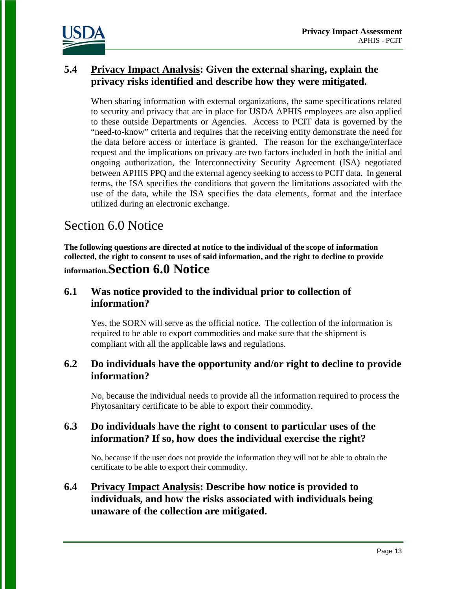

#### **5.4 Privacy Impact Analysis: Given the external sharing, explain the privacy risks identified and describe how they were mitigated.**

When sharing information with external organizations, the same specifications related to security and privacy that are in place for USDA APHIS employees are also applied to these outside Departments or Agencies. Access to PCIT data is governed by the "need-to-know" criteria and requires that the receiving entity demonstrate the need for the data before access or interface is granted. The reason for the exchange/interface request and the implications on privacy are two factors included in both the initial and ongoing authorization, the Interconnectivity Security Agreement (ISA) negotiated between APHIS PPQ and the external agency seeking to access to PCIT data. In general terms, the ISA specifies the conditions that govern the limitations associated with the use of the data, while the ISA specifies the data elements, format and the interface utilized during an electronic exchange.

# Section 6.0 Notice

**The following questions are directed at notice to the individual of the scope of information collected, the right to consent to uses of said information, and the right to decline to provide information.Section 6.0 Notice** 

#### **6.1 Was notice provided to the individual prior to collection of information?**

Yes, the SORN will serve as the official notice. The collection of the information is required to be able to export commodities and make sure that the shipment is compliant with all the applicable laws and regulations.

#### **6.2 Do individuals have the opportunity and/or right to decline to provide information?**

No, because the individual needs to provide all the information required to process the Phytosanitary certificate to be able to export their commodity.

#### **6.3 Do individuals have the right to consent to particular uses of the information? If so, how does the individual exercise the right?**

No, because if the user does not provide the information they will not be able to obtain the certificate to be able to export their commodity.

#### **6.4 Privacy Impact Analysis: Describe how notice is provided to individuals, and how the risks associated with individuals being unaware of the collection are mitigated.**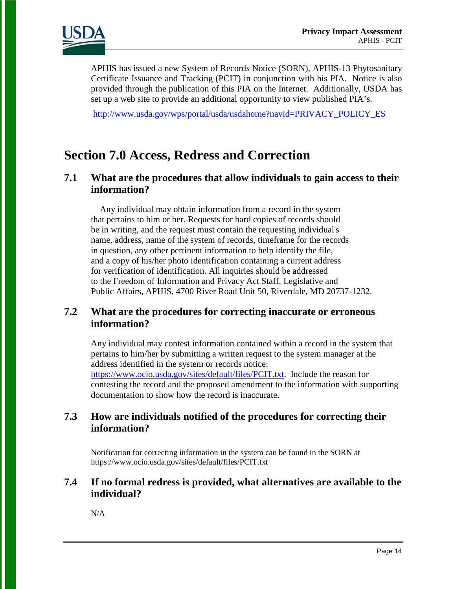

APHIS has issued a new System of Records Notice (SORN), APHIS-13 Phytosanitary Certificate Issuance and Tracking (PCIT) in conjunction with his PIA. Notice is also provided through the publication of this PIA on the Internet. Additionally, USDA has set up a web site to provide an additional opportunity to view published PIA's.

[http://www.usda.gov/wps/portal/usda/usdahome?navid=PRIVACY\\_POLICY\\_ES](http://www.usda.gov/wps/portal/usda/usdahome?navid=PRIVACY_POLICY_ES)

## **Section 7.0 Access, Redress and Correction**

#### **7.1 What are the procedures that allow individuals to gain access to their information?**

 Any individual may obtain information from a record in the system that pertains to him or her. Requests for hard copies of records should be in writing, and the request must contain the requesting individual's name, address, name of the system of records, timeframe for the records in question, any other pertinent information to help identify the file, and a copy of his/her photo identification containing a current address for verification of identification. All inquiries should be addressed to the Freedom of Information and Privacy Act Staff, Legislative and Public Affairs, APHIS, 4700 River Road Unit 50, Riverdale, MD 20737-1232.

#### **7.2 What are the procedures for correcting inaccurate or erroneous information?**

Any individual may contest information contained within a record in the system that pertains to him/her by submitting a written request to the system manager at the address identified in the system or records notice: [https://www.ocio.usda.gov/sites/default/files/PCIT.txt.](https://www.ocio.usda.gov/sites/default/files/PCIT.txt) Include the reason for contesting the record and the proposed amendment to the information with supporting documentation to show how the record is inaccurate.

#### **7.3 How are individuals notified of the procedures for correcting their information?**

Notification for correcting information in the system can be found in the SORN at https://www.ocio.usda.gov/sites/default/files/PCIT.txt

#### **7.4 If no formal redress is provided, what alternatives are available to the individual?**

N/A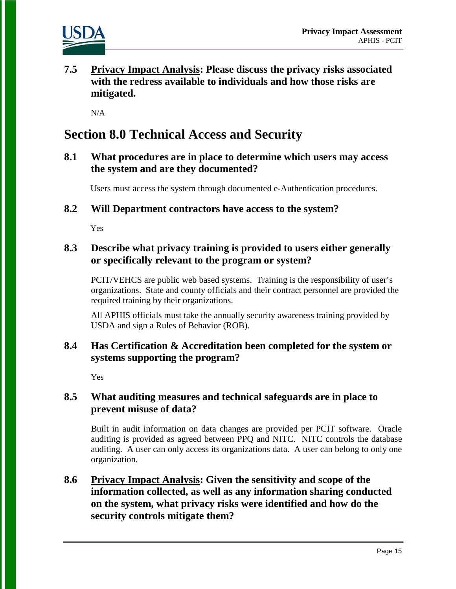

**7.5 Privacy Impact Analysis: Please discuss the privacy risks associated with the redress available to individuals and how those risks are mitigated.** 

 $N/A$ 

# **Section 8.0 Technical Access and Security**

**8.1 What procedures are in place to determine which users may access the system and are they documented?** 

Users must access the system through documented e-Authentication procedures.

**8.2 Will Department contractors have access to the system?** 

Yes

#### **8.3 Describe what privacy training is provided to users either generally or specifically relevant to the program or system?**

PCIT/VEHCS are public web based systems. Training is the responsibility of user's organizations. State and county officials and their contract personnel are provided the required training by their organizations.

All APHIS officials must take the annually security awareness training provided by USDA and sign a Rules of Behavior (ROB).

#### **8.4 Has Certification & Accreditation been completed for the system or systems supporting the program?**

Yes

#### **8.5 What auditing measures and technical safeguards are in place to prevent misuse of data?**

Built in audit information on data changes are provided per PCIT software. Oracle auditing is provided as agreed between PPQ and NITC. NITC controls the database auditing. A user can only access its organizations data. A user can belong to only one organization.

**8.6 Privacy Impact Analysis: Given the sensitivity and scope of the information collected, as well as any information sharing conducted on the system, what privacy risks were identified and how do the security controls mitigate them?**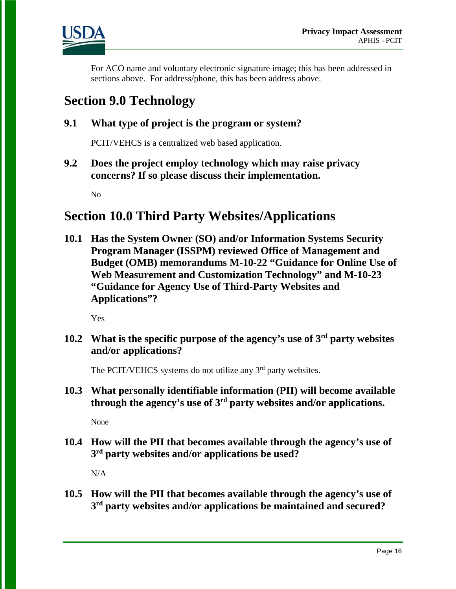

For ACO name and voluntary electronic signature image; this has been addressed in sections above. For address/phone, this has been address above.

## **Section 9.0 Technology**

### **9.1 What type of project is the program or system?**

PCIT/VEHCS is a centralized web based application.

**9.2 Does the project employ technology which may raise privacy concerns? If so please discuss their implementation.** 

No

# **Section 10.0 Third Party Websites/Applications**

**10.1 Has the System Owner (SO) and/or Information Systems Security Program Manager (ISSPM) reviewed Office of Management and Budget (OMB) memorandums M-10-22 "Guidance for Online Use of Web Measurement and Customization Technology" and M-10-23 "Guidance for Agency Use of Third-Party Websites and Applications"?**

Yes

**10.2 What is the specific purpose of the agency's use of 3rd party websites and/or applications?**

The PCIT/VEHCS systems do not utilize any 3<sup>rd</sup> party websites.

**10.3 What personally identifiable information (PII) will become available through the agency's use of 3rd party websites and/or applications.**

None

**10.4 How will the PII that becomes available through the agency's use of 3rd party websites and/or applications be used?**

N/A

**10.5 How will the PII that becomes available through the agency's use of 3rd party websites and/or applications be maintained and secured?**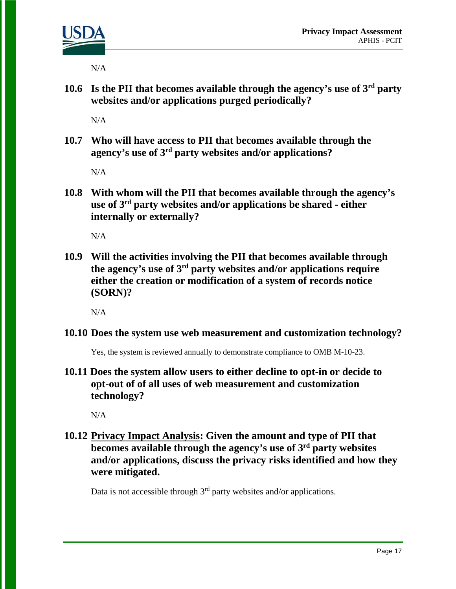

N/A

**10.6 Is the PII that becomes available through the agency's use of 3rd party websites and/or applications purged periodically?** 

N/A

**10.7 Who will have access to PII that becomes available through the agency's use of 3rd party websites and/or applications?**

N/A

**10.8 With whom will the PII that becomes available through the agency's use of 3rd party websites and/or applications be shared - either internally or externally?**

N/A

**10.9 Will the activities involving the PII that becomes available through the agency's use of 3rd party websites and/or applications require either the creation or modification of a system of records notice (SORN)?**

N/A

**10.10 Does the system use web measurement and customization technology?**

Yes, the system is reviewed annually to demonstrate compliance to OMB M-10-23.

**10.11 Does the system allow users to either decline to opt-in or decide to opt-out of of all uses of web measurement and customization technology?**

N/A

### **10.12 Privacy Impact Analysis: Given the amount and type of PII that becomes available through the agency's use of 3rd party websites and/or applications, discuss the privacy risks identified and how they were mitigated.**

Data is not accessible through  $3<sup>rd</sup>$  party websites and/or applications.